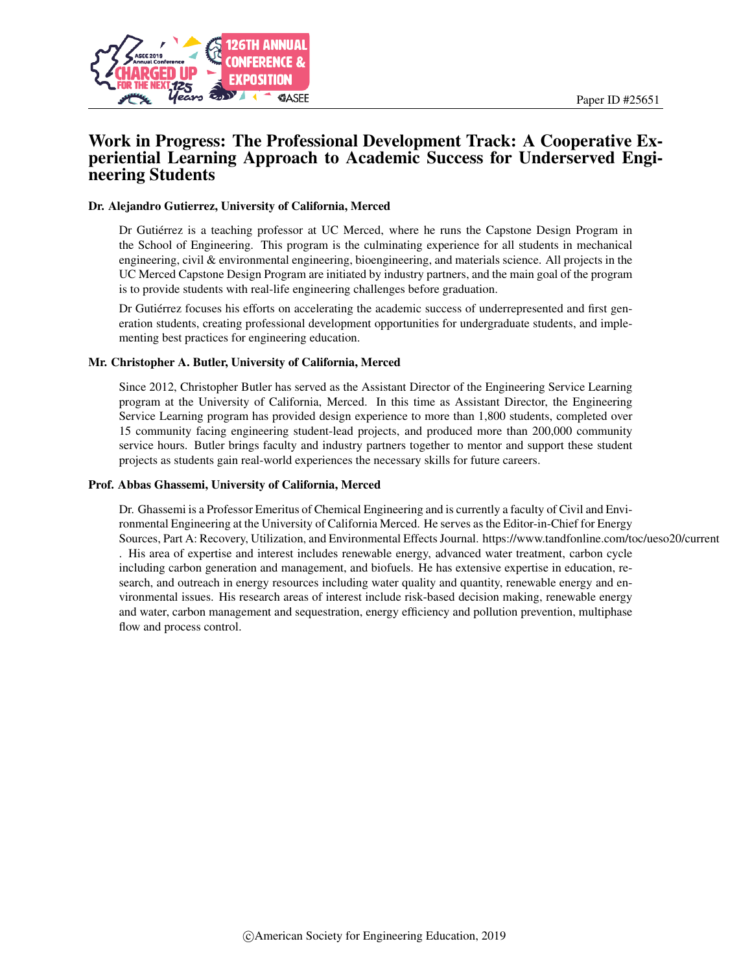

# Work in Progress: The Professional Development Track: A Cooperative Experiential Learning Approach to Academic Success for Underserved Engineering Students

#### Dr. Alejandro Gutierrez, University of California, Merced

Dr Gutiérrez is a teaching professor at UC Merced, where he runs the Capstone Design Program in the School of Engineering. This program is the culminating experience for all students in mechanical engineering, civil & environmental engineering, bioengineering, and materials science. All projects in the UC Merced Capstone Design Program are initiated by industry partners, and the main goal of the program is to provide students with real-life engineering challenges before graduation.

Dr Gutiérrez focuses his efforts on accelerating the academic success of underrepresented and first generation students, creating professional development opportunities for undergraduate students, and implementing best practices for engineering education.

#### Mr. Christopher A. Butler, University of California, Merced

Since 2012, Christopher Butler has served as the Assistant Director of the Engineering Service Learning program at the University of California, Merced. In this time as Assistant Director, the Engineering Service Learning program has provided design experience to more than 1,800 students, completed over 15 community facing engineering student-lead projects, and produced more than 200,000 community service hours. Butler brings faculty and industry partners together to mentor and support these student projects as students gain real-world experiences the necessary skills for future careers.

#### Prof. Abbas Ghassemi, University of California, Merced

Dr. Ghassemi is a Professor Emeritus of Chemical Engineering and is currently a faculty of Civil and Environmental Engineering at the University of California Merced. He serves as the Editor-in-Chief for Energy Sources, Part A: Recovery, Utilization, and Environmental Effects Journal. https://www.tandfonline.com/toc/ueso20/current . His area of expertise and interest includes renewable energy, advanced water treatment, carbon cycle including carbon generation and management, and biofuels. He has extensive expertise in education, research, and outreach in energy resources including water quality and quantity, renewable energy and environmental issues. His research areas of interest include risk-based decision making, renewable energy and water, carbon management and sequestration, energy efficiency and pollution prevention, multiphase flow and process control.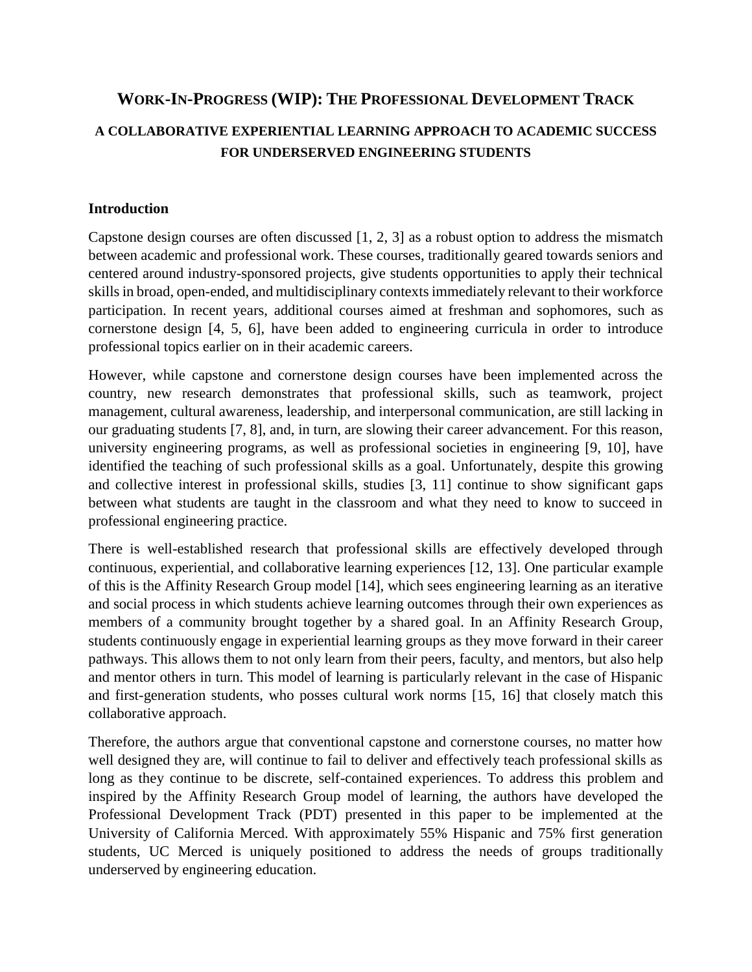# **WORK-IN-PROGRESS (WIP): THE PROFESSIONAL DEVELOPMENT TRACK**

# **A COLLABORATIVE EXPERIENTIAL LEARNING APPROACH TO ACADEMIC SUCCESS FOR UNDERSERVED ENGINEERING STUDENTS**

### **Introduction**

Capstone design courses are often discussed [1, 2, 3] as a robust option to address the mismatch between academic and professional work. These courses, traditionally geared towards seniors and centered around industry-sponsored projects, give students opportunities to apply their technical skills in broad, open-ended, and multidisciplinary contexts immediately relevant to their workforce participation. In recent years, additional courses aimed at freshman and sophomores, such as cornerstone design [4, 5, 6], have been added to engineering curricula in order to introduce professional topics earlier on in their academic careers.

However, while capstone and cornerstone design courses have been implemented across the country, new research demonstrates that professional skills, such as teamwork, project management, cultural awareness, leadership, and interpersonal communication, are still lacking in our graduating students [7, 8], and, in turn, are slowing their career advancement. For this reason, university engineering programs, as well as professional societies in engineering [9, 10], have identified the teaching of such professional skills as a goal. Unfortunately, despite this growing and collective interest in professional skills, studies [3, 11] continue to show significant gaps between what students are taught in the classroom and what they need to know to succeed in professional engineering practice.

There is well-established research that professional skills are effectively developed through continuous, experiential, and collaborative learning experiences [12, 13]. One particular example of this is the Affinity Research Group model [14], which sees engineering learning as an iterative and social process in which students achieve learning outcomes through their own experiences as members of a community brought together by a shared goal. In an Affinity Research Group, students continuously engage in experiential learning groups as they move forward in their career pathways. This allows them to not only learn from their peers, faculty, and mentors, but also help and mentor others in turn. This model of learning is particularly relevant in the case of Hispanic and first-generation students, who posses cultural work norms [15, 16] that closely match this collaborative approach.

Therefore, the authors argue that conventional capstone and cornerstone courses, no matter how well designed they are, will continue to fail to deliver and effectively teach professional skills as long as they continue to be discrete, self-contained experiences. To address this problem and inspired by the Affinity Research Group model of learning, the authors have developed the Professional Development Track (PDT) presented in this paper to be implemented at the University of California Merced. With approximately 55% Hispanic and 75% first generation students, UC Merced is uniquely positioned to address the needs of groups traditionally underserved by engineering education.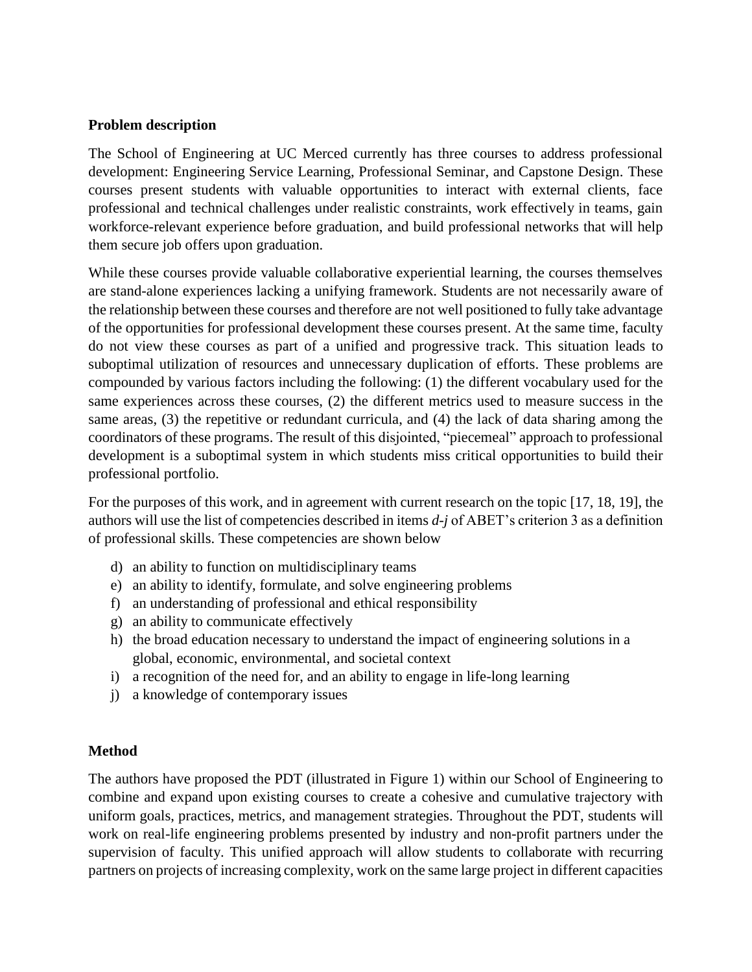## **Problem description**

The School of Engineering at UC Merced currently has three courses to address professional development: Engineering Service Learning, Professional Seminar, and Capstone Design. These courses present students with valuable opportunities to interact with external clients, face professional and technical challenges under realistic constraints, work effectively in teams, gain workforce-relevant experience before graduation, and build professional networks that will help them secure job offers upon graduation.

While these courses provide valuable collaborative experiential learning, the courses themselves are stand-alone experiences lacking a unifying framework. Students are not necessarily aware of the relationship between these courses and therefore are not well positioned to fully take advantage of the opportunities for professional development these courses present. At the same time, faculty do not view these courses as part of a unified and progressive track. This situation leads to suboptimal utilization of resources and unnecessary duplication of efforts. These problems are compounded by various factors including the following: (1) the different vocabulary used for the same experiences across these courses, (2) the different metrics used to measure success in the same areas, (3) the repetitive or redundant curricula, and (4) the lack of data sharing among the coordinators of these programs. The result of this disjointed, "piecemeal" approach to professional development is a suboptimal system in which students miss critical opportunities to build their professional portfolio.

For the purposes of this work, and in agreement with current research on the topic [17, 18, 19], the authors will use the list of competencies described in items *d-j* of ABET's criterion 3 as a definition of professional skills. These competencies are shown below

- d) an ability to function on multidisciplinary teams
- e) an ability to identify, formulate, and solve engineering problems
- f) an understanding of professional and ethical responsibility
- g) an ability to communicate effectively
- h) the broad education necessary to understand the impact of engineering solutions in a global, economic, environmental, and societal context
- i) a recognition of the need for, and an ability to engage in life-long learning
- j) a knowledge of contemporary issues

### **Method**

The authors have proposed the PDT (illustrated in Figure 1) within our School of Engineering to combine and expand upon existing courses to create a cohesive and cumulative trajectory with uniform goals, practices, metrics, and management strategies. Throughout the PDT, students will work on real-life engineering problems presented by industry and non-profit partners under the supervision of faculty. This unified approach will allow students to collaborate with recurring partners on projects of increasing complexity, work on the same large project in different capacities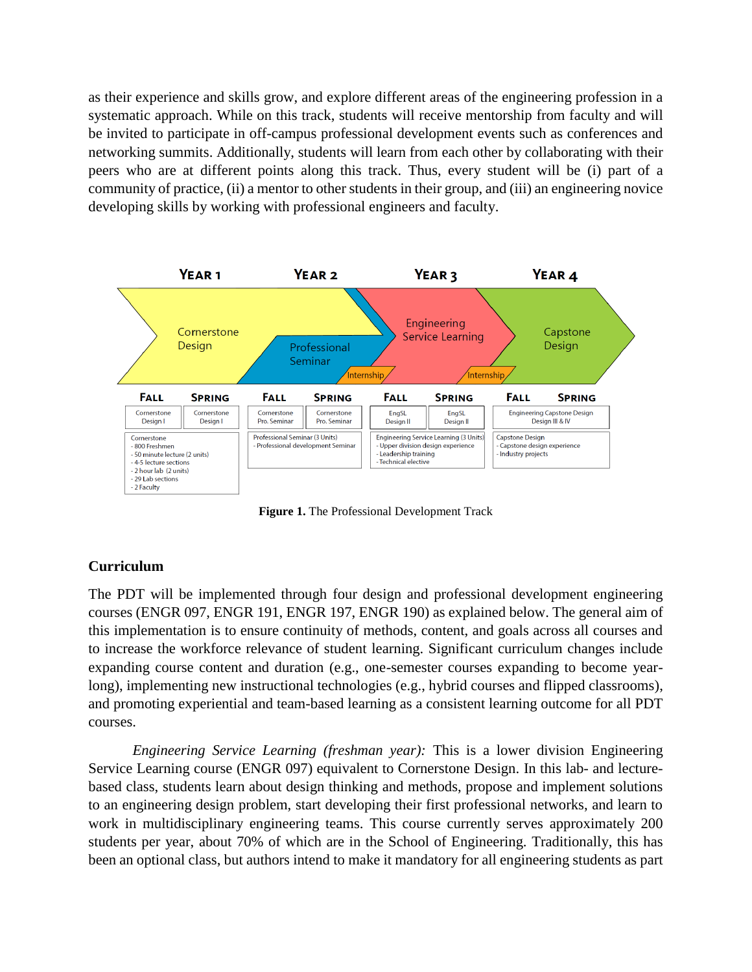as their experience and skills grow, and explore different areas of the engineering profession in a systematic approach. While on this track, students will receive mentorship from faculty and will be invited to participate in off-campus professional development events such as conferences and networking summits. Additionally, students will learn from each other by collaborating with their peers who are at different points along this track. Thus, every student will be (i) part of a community of practice, (ii) a mentor to other students in their group, and (iii) an engineering novice developing skills by working with professional engineers and faculty.



**Figure 1.** The Professional Development Track

## **Curriculum**

The PDT will be implemented through four design and professional development engineering courses (ENGR 097, ENGR 191, ENGR 197, ENGR 190) as explained below. The general aim of this implementation is to ensure continuity of methods, content, and goals across all courses and to increase the workforce relevance of student learning. Significant curriculum changes include expanding course content and duration (e.g., one-semester courses expanding to become yearlong), implementing new instructional technologies (e.g., hybrid courses and flipped classrooms), and promoting experiential and team-based learning as a consistent learning outcome for all PDT courses.

*Engineering Service Learning (freshman year):* This is a lower division Engineering Service Learning course (ENGR 097) equivalent to Cornerstone Design. In this lab- and lecturebased class, students learn about design thinking and methods, propose and implement solutions to an engineering design problem, start developing their first professional networks, and learn to work in multidisciplinary engineering teams. This course currently serves approximately 200 students per year, about 70% of which are in the School of Engineering. Traditionally, this has been an optional class, but authors intend to make it mandatory for all engineering students as part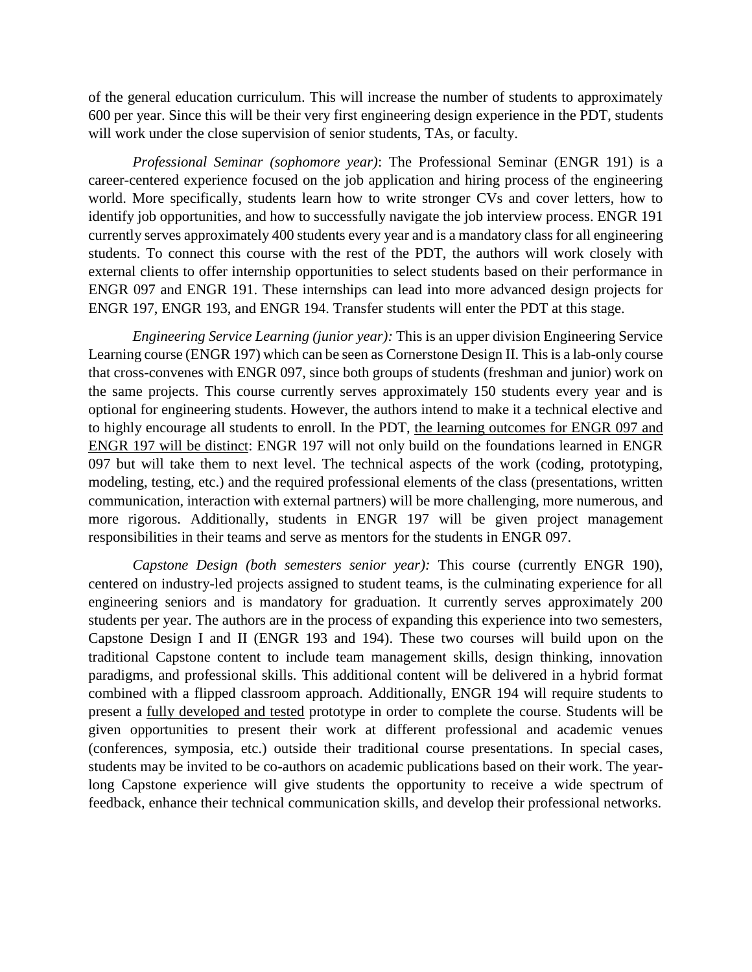of the general education curriculum. This will increase the number of students to approximately 600 per year. Since this will be their very first engineering design experience in the PDT, students will work under the close supervision of senior students, TAs, or faculty.

*Professional Seminar (sophomore year)*: The Professional Seminar (ENGR 191) is a career-centered experience focused on the job application and hiring process of the engineering world. More specifically, students learn how to write stronger CVs and cover letters, how to identify job opportunities, and how to successfully navigate the job interview process. ENGR 191 currently serves approximately 400 students every year and is a mandatory class for all engineering students. To connect this course with the rest of the PDT, the authors will work closely with external clients to offer internship opportunities to select students based on their performance in ENGR 097 and ENGR 191. These internships can lead into more advanced design projects for ENGR 197, ENGR 193, and ENGR 194. Transfer students will enter the PDT at this stage.

*Engineering Service Learning (junior year):* This is an upper division Engineering Service Learning course (ENGR 197) which can be seen as Cornerstone Design II. This is a lab-only course that cross-convenes with ENGR 097, since both groups of students (freshman and junior) work on the same projects. This course currently serves approximately 150 students every year and is optional for engineering students. However, the authors intend to make it a technical elective and to highly encourage all students to enroll. In the PDT, the learning outcomes for ENGR 097 and ENGR 197 will be distinct: ENGR 197 will not only build on the foundations learned in ENGR 097 but will take them to next level. The technical aspects of the work (coding, prototyping, modeling, testing, etc.) and the required professional elements of the class (presentations, written communication, interaction with external partners) will be more challenging, more numerous, and more rigorous. Additionally, students in ENGR 197 will be given project management responsibilities in their teams and serve as mentors for the students in ENGR 097.

*Capstone Design (both semesters senior year):* This course (currently ENGR 190), centered on industry-led projects assigned to student teams, is the culminating experience for all engineering seniors and is mandatory for graduation. It currently serves approximately 200 students per year. The authors are in the process of expanding this experience into two semesters, Capstone Design I and II (ENGR 193 and 194). These two courses will build upon on the traditional Capstone content to include team management skills, design thinking, innovation paradigms, and professional skills. This additional content will be delivered in a hybrid format combined with a flipped classroom approach. Additionally, ENGR 194 will require students to present a fully developed and tested prototype in order to complete the course. Students will be given opportunities to present their work at different professional and academic venues (conferences, symposia, etc.) outside their traditional course presentations. In special cases, students may be invited to be co-authors on academic publications based on their work. The yearlong Capstone experience will give students the opportunity to receive a wide spectrum of feedback, enhance their technical communication skills, and develop their professional networks.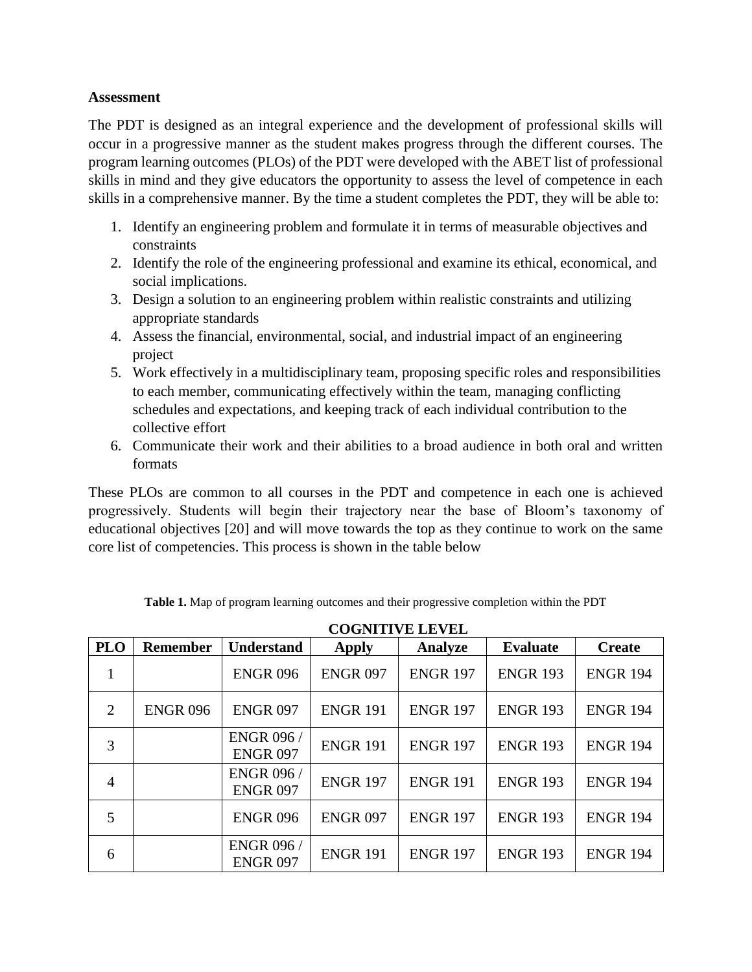### **Assessment**

The PDT is designed as an integral experience and the development of professional skills will occur in a progressive manner as the student makes progress through the different courses. The program learning outcomes (PLOs) of the PDT were developed with the ABET list of professional skills in mind and they give educators the opportunity to assess the level of competence in each skills in a comprehensive manner. By the time a student completes the PDT, they will be able to:

- 1. Identify an engineering problem and formulate it in terms of measurable objectives and constraints
- 2. Identify the role of the engineering professional and examine its ethical, economical, and social implications.
- 3. Design a solution to an engineering problem within realistic constraints and utilizing appropriate standards
- 4. Assess the financial, environmental, social, and industrial impact of an engineering project
- 5. Work effectively in a multidisciplinary team, proposing specific roles and responsibilities to each member, communicating effectively within the team, managing conflicting schedules and expectations, and keeping track of each individual contribution to the collective effort
- 6. Communicate their work and their abilities to a broad audience in both oral and written formats

These PLOs are common to all courses in the PDT and competence in each one is achieved progressively. Students will begin their trajectory near the base of Bloom's taxonomy of educational objectives [20] and will move towards the top as they continue to work on the same core list of competencies. This process is shown in the table below

**PLO Remember Understand Apply Analyze Evaluate Create** 1 ENGR 096 | ENGR 097 | ENGR 197 | ENGR 193 | ENGR 194 2 | ENGR 096 | ENGR 097 | ENGR 191 | ENGR 197 | ENGR 193 | ENGR 194 3 ENGR 096 / ENGR 097 ENGR 191 | ENGR 197 | ENGR 193 | ENGR 194 4 ENGR 096 / ENGR 097 ENGR 197 | ENGR 191 | ENGR 193 | ENGR 194 5 ENGR 096 ENGR 097 ENGR 197 ENGR 193 ENGR 194 6 ENGR 096 / ENGR 097 ENGR 191 | ENGR 197 | ENGR 193 | ENGR 194

**Table 1.** Map of program learning outcomes and their progressive completion within the PDT

| <b>COGNITIVE LEVEL</b> |
|------------------------|
|------------------------|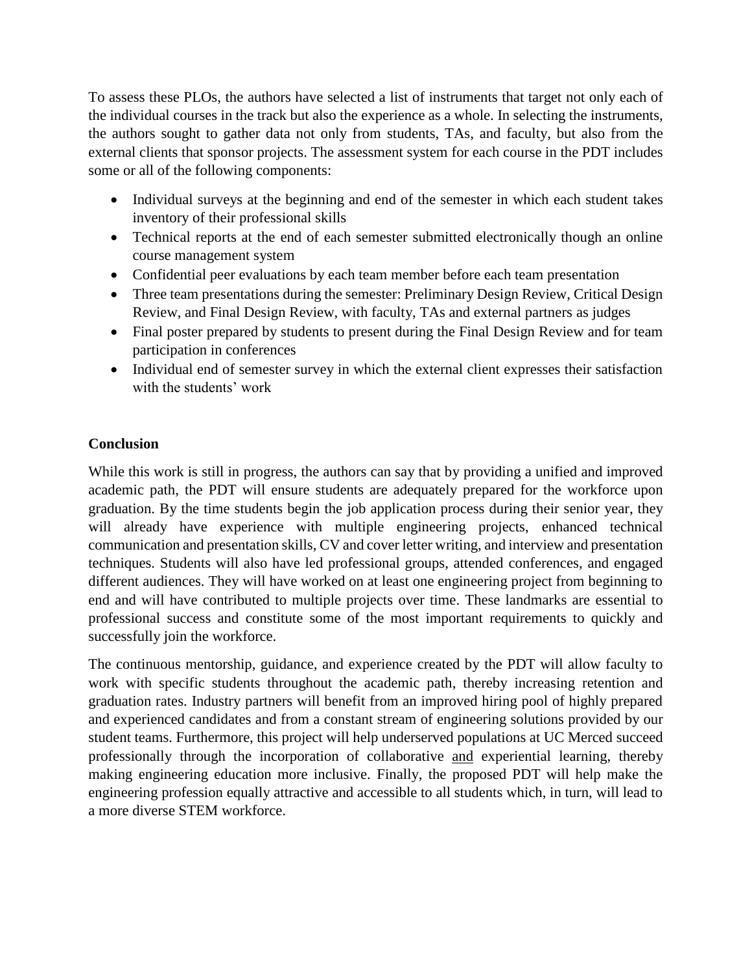To assess these PLOs, the authors have selected a list of instruments that target not only each of the individual courses in the track but also the experience as a whole. In selecting the instruments, the authors sought to gather data not only from students, TAs, and faculty, but also from the external clients that sponsor projects. The assessment system for each course in the PDT includes some or all of the following components:

- Individual surveys at the beginning and end of the semester in which each student takes inventory of their professional skills
- Technical reports at the end of each semester submitted electronically though an online course management system
- Confidential peer evaluations by each team member before each team presentation
- Three team presentations during the semester: Preliminary Design Review, Critical Design Review, and Final Design Review, with faculty, TAs and external partners as judges
- Final poster prepared by students to present during the Final Design Review and for team participation in conferences
- Individual end of semester survey in which the external client expresses their satisfaction with the students' work

# **Conclusion**

While this work is still in progress, the authors can say that by providing a unified and improved academic path, the PDT will ensure students are adequately prepared for the workforce upon graduation. By the time students begin the job application process during their senior year, they will already have experience with multiple engineering projects, enhanced technical communication and presentation skills, CV and cover letter writing, and interview and presentation techniques. Students will also have led professional groups, attended conferences, and engaged different audiences. They will have worked on at least one engineering project from beginning to end and will have contributed to multiple projects over time. These landmarks are essential to professional success and constitute some of the most important requirements to quickly and successfully join the workforce.

The continuous mentorship, guidance, and experience created by the PDT will allow faculty to work with specific students throughout the academic path, thereby increasing retention and graduation rates. Industry partners will benefit from an improved hiring pool of highly prepared and experienced candidates and from a constant stream of engineering solutions provided by our student teams. Furthermore, this project will help underserved populations at UC Merced succeed professionally through the incorporation of collaborative and experiential learning, thereby making engineering education more inclusive. Finally, the proposed PDT will help make the engineering profession equally attractive and accessible to all students which, in turn, will lead to a more diverse STEM workforce.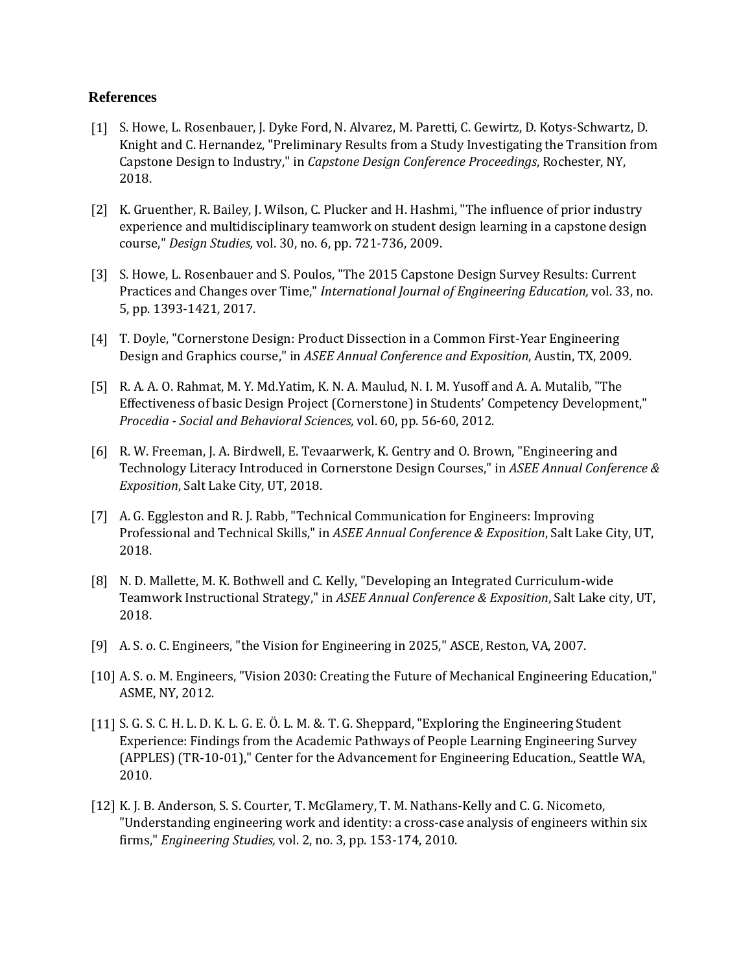#### **References**

- [1] S. Howe, L. Rosenbauer, J. Dyke Ford, N. Alvarez, M. Paretti, C. Gewirtz, D. Kotys-Schwartz, D. Knight and C. Hernandez, "Preliminary Results from a Study Investigating the Transition from Capstone Design to Industry," in *Capstone Design Conference Proceedings*, Rochester, NY, 2018.
- [2] K. Gruenther, R. Bailey, J. Wilson, C. Plucker and H. Hashmi, "The influence of prior industry experience and multidisciplinary teamwork on student design learning in a capstone design course," *Design Studies,* vol. 30, no. 6, pp. 721-736, 2009.
- [3] S. Howe, L. Rosenbauer and S. Poulos, "The 2015 Capstone Design Survey Results: Current Practices and Changes over Time," *International Journal of Engineering Education,* vol. 33, no. 5, pp. 1393-1421, 2017.
- [4] T. Doyle, "Cornerstone Design: Product Dissection in a Common First-Year Engineering Design and Graphics course," in *ASEE Annual Conference and Exposition*, Austin, TX, 2009.
- [5] R. A. A. O. Rahmat, M. Y. Md.Yatim, K. N. A. Maulud, N. I. M. Yusoff and A. A. Mutalib, "The Effectiveness of basic Design Project (Cornerstone) in Students' Competency Development," *Procedia - Social and Behavioral Sciences,* vol. 60, pp. 56-60, 2012.
- [6] R. W. Freeman, J. A. Birdwell, E. Tevaarwerk, K. Gentry and O. Brown, "Engineering and Technology Literacy Introduced in Cornerstone Design Courses," in *ASEE Annual Conference & Exposition*, Salt Lake City, UT, 2018.
- [7] A. G. Eggleston and R. J. Rabb, "Technical Communication for Engineers: Improving Professional and Technical Skills," in *ASEE Annual Conference & Exposition*, Salt Lake City, UT, 2018.
- [8] N. D. Mallette, M. K. Bothwell and C. Kelly, "Developing an Integrated Curriculum-wide Teamwork Instructional Strategy," in *ASEE Annual Conference & Exposition*, Salt Lake city, UT, 2018.
- [9] A. S. o. C. Engineers, "the Vision for Engineering in 2025," ASCE, Reston, VA, 2007.
- [10] A. S. o. M. Engineers, "Vision 2030: Creating the Future of Mechanical Engineering Education," ASME, NY, 2012.
- [11] S. G. S. C. H. L. D. K. L. G. E. Ö. L. M. &. T. G. Sheppard, "Exploring the Engineering Student Experience: Findings from the Academic Pathways of People Learning Engineering Survey (APPLES) (TR-10-01)," Center for the Advancement for Engineering Education., Seattle WA, 2010.
- [12] K. J. B. Anderson, S. S. Courter, T. McGlamery, T. M. Nathans-Kelly and C. G. Nicometo, "Understanding engineering work and identity: a cross-case analysis of engineers within six firms," *Engineering Studies,* vol. 2, no. 3, pp. 153-174, 2010.